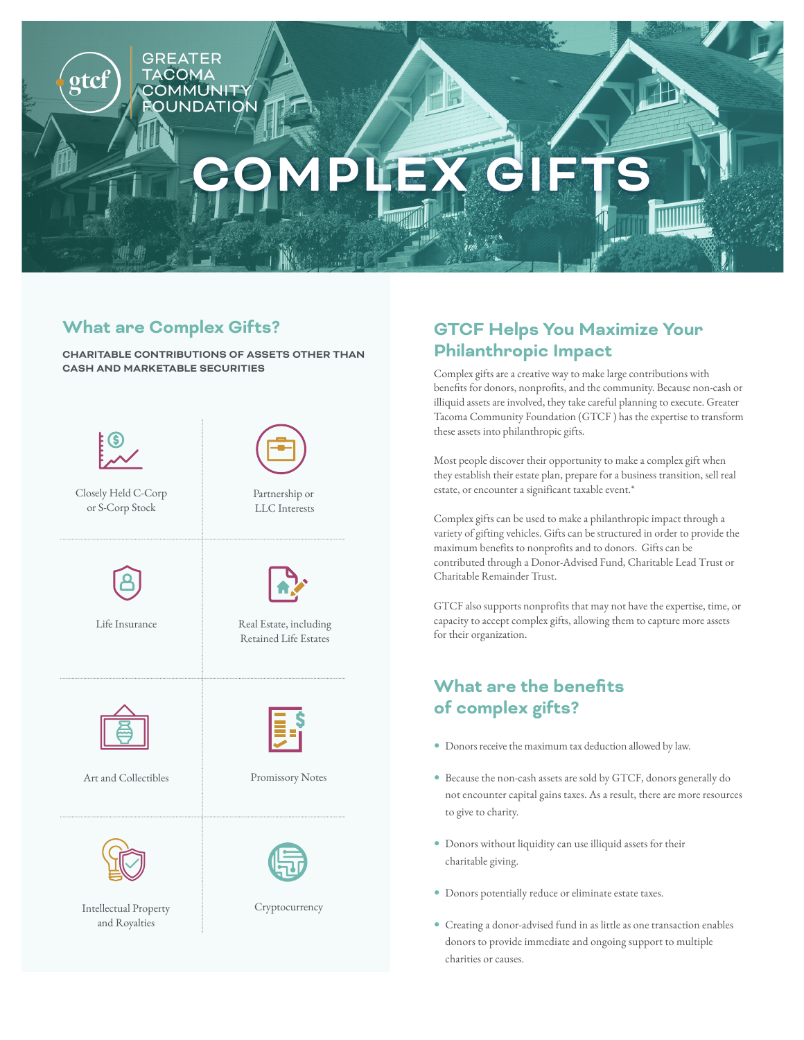

### **What are Complex Gifts?**

**CHARITABLE CONTRIBUTIONS OF ASSETS OTHER THAN CASH AND MARKETABLE SECURITIES**



### **GTCF Helps You Maximize Your Philanthropic Impact**

Complex gifts are a creative way to make large contributions with benefits for donors, nonprofits, and the community. Because non-cash or illiquid assets are involved, they take careful planning to execute. Greater Tacoma Community Foundation (GTCF ) has the expertise to transform these assets into philanthropic gifts.

Most people discover their opportunity to make a complex gift when they establish their estate plan, prepare for a business transition, sell real estate, or encounter a significant taxable event.\*

Complex gifts can be used to make a philanthropic impact through a variety of gifting vehicles. Gifts can be structured in order to provide the maximum benefits to nonprofits and to donors. Gifts can be contributed through a Donor-Advised Fund, Charitable Lead Trust or Charitable Remainder Trust.

GTCF also supports nonprofits that may not have the expertise, time, or capacity to accept complex gifts, allowing them to capture more assets for their organization.

# **What are the benefits of complex gifts?**

- Donors receive the maximum tax deduction allowed by law.
- Because the non-cash assets are sold by GTCF, donors generally do not encounter capital gains taxes. As a result, there are more resources to give to charity.
- Donors without liquidity can use illiquid assets for their charitable giving.
- Donors potentially reduce or eliminate estate taxes.
- Creating a donor-advised fund in as little as one transaction enables donors to provide immediate and ongoing support to multiple charities or causes.